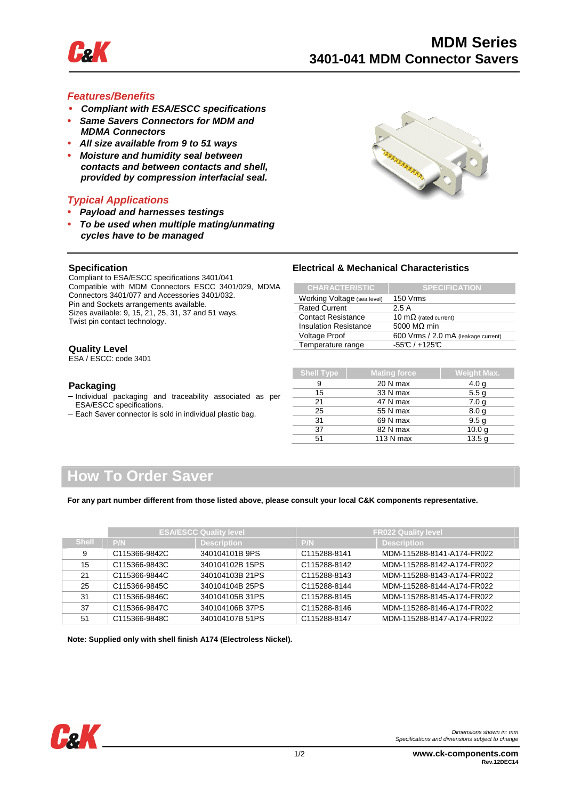

#### **Features/Benefits**

- **Compliant with ESA/ESCC specifications**
- **Same Savers Connectors for MDM and MDMA Connectors**
- **All size available from 9 to 51 ways**
- **Moisture and humidity seal between contacts and between contacts and shell, provided by compression interfacial seal.**

#### **Typical Applications**

**• Payload and harnesses testings** 

Compliant to ESA/ESCC specifications 3401/041

Connectors 3401/077 and Accessories 3401/032. Pin and Sockets arrangements available.

**• To be used when multiple mating/unmating cycles have to be managed** 

Compatible with MDM Connectors ESCC 3401/029, MDMA



#### **Electrical & Mechanical Characteristics**

| <b>CHARACTERISTIC</b>        | <b>SPECIFICATION</b>                |
|------------------------------|-------------------------------------|
| Working Voltage (sea level)  | 150 Vrms                            |
| <b>Rated Current</b>         | 2.5A                                |
| <b>Contact Resistance</b>    | 10 $m\Omega$ (rated current)        |
| <b>Insulation Resistance</b> | 5000 MQ min                         |
| <b>Voltage Proof</b>         | 600 Vrms / 2.0 mA (leakage current) |
| Temperature range            | $-55C/+125C$                        |

#### Sizes available: 9, 15, 21, 25, 31, 37 and 51 ways. Twist pin contact technology.

**Specification** 

#### **Quality Level**

ESA / ESCC: code 3401

#### **Packaging**

- − Individual packaging and traceability associated as per ESA/ESCC specifications.
- − Each Saver connector is sold in individual plastic bag.

| <b>Shell Type</b> | <b>Mating force</b> | <b>Weight Max.</b> |  |  |
|-------------------|---------------------|--------------------|--|--|
| 9                 | 20 N max            | 4.0 <sub>g</sub>   |  |  |
| 15                | 33 N max            | 5.5 <sub>q</sub>   |  |  |
| 21                | 47 N max            | 7.0 <sub>q</sub>   |  |  |
| 25                | 55 N max            | 8.0 <sub>g</sub>   |  |  |
| 31                | 69 N max            | 9.5 <sub>g</sub>   |  |  |
| 37                | 82 N max            | 10.0 <sub>g</sub>  |  |  |
| 51                | 113 N max           | 13.5 <sub>q</sub>  |  |  |

### **How To Order Saver**

**For any part number different from those listed above, please consult your local C&K components representative.**

|              |               | <b>ESA/ESCC Quality level</b> |              | <b>FR022 Quality level</b> |  |  |
|--------------|---------------|-------------------------------|--------------|----------------------------|--|--|
| <b>Shell</b> | P/N           | <b>Description</b>            | P/N          | <b>Description</b>         |  |  |
| 9            | C115366-9842C | 340104101B 9PS                | C115288-8141 | MDM-115288-8141-A174-FR022 |  |  |
| 15           | C115366-9843C | 340104102B 15PS               | C115288-8142 | MDM-115288-8142-A174-FR022 |  |  |
| 21           | C115366-9844C | 340104103B 21PS               | C115288-8143 | MDM-115288-8143-A174-FR022 |  |  |
| 25           | C115366-9845C | 340104104B 25PS               | C115288-8144 | MDM-115288-8144-A174-FR022 |  |  |
| 31           | C115366-9846C | 340104105B 31PS               | C115288-8145 | MDM-115288-8145-A174-FR022 |  |  |
| 37           | C115366-9847C | 340104106B 37PS               | C115288-8146 | MDM-115288-8146-A174-FR022 |  |  |
| 51           | C115366-9848C | 340104107B 51PS               | C115288-8147 | MDM-115288-8147-A174-FR022 |  |  |

**Note: Supplied only with shell finish A174 (Electroless Nickel).**